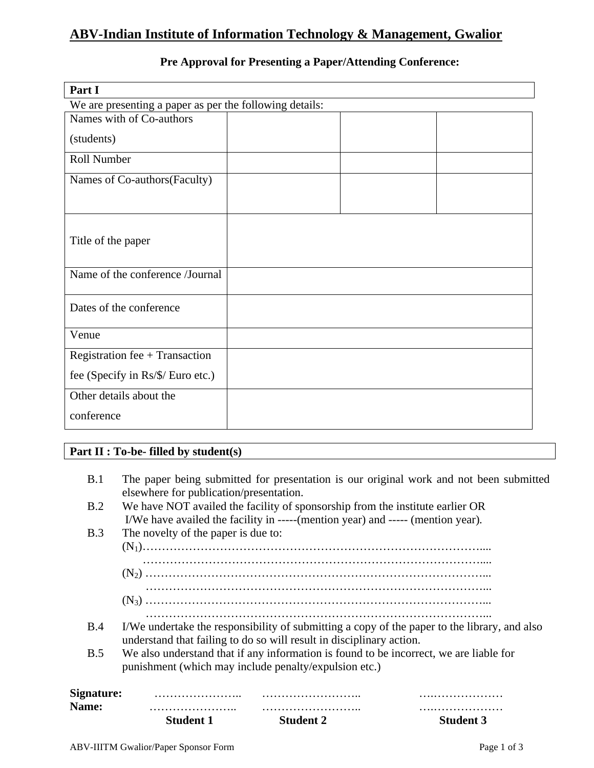# **ABV-Indian Institute of Information Technology & Management, Gwalior**

| Part I                                                  |  |  |  |
|---------------------------------------------------------|--|--|--|
| We are presenting a paper as per the following details: |  |  |  |
| Names with of Co-authors                                |  |  |  |
| (students)                                              |  |  |  |
| <b>Roll Number</b>                                      |  |  |  |
| Names of Co-authors (Faculty)                           |  |  |  |
| Title of the paper                                      |  |  |  |
| Name of the conference /Journal                         |  |  |  |
| Dates of the conference                                 |  |  |  |
| Venue                                                   |  |  |  |
| Registration fee + Transaction                          |  |  |  |
| fee (Specify in Rs/\$/ Euro etc.)                       |  |  |  |
| Other details about the                                 |  |  |  |
| conference                                              |  |  |  |

# **Pre Approval for Presenting a Paper/Attending Conference:**

## **Part II : To-be- filled by student(s)**

|                            | <b>Student 1</b>                                                              | <b>Student 2</b>                                                                | <b>Student 3</b>                                                                             |
|----------------------------|-------------------------------------------------------------------------------|---------------------------------------------------------------------------------|----------------------------------------------------------------------------------------------|
| Signature:<br><b>Name:</b> | .                                                                             |                                                                                 |                                                                                              |
|                            | punishment (which may include penalty/expulsion etc.)                         |                                                                                 |                                                                                              |
| B.5                        | understand that failing to do so will result in disciplinary action.          |                                                                                 | We also understand that if any information is found to be incorrect, we are liable for       |
| <b>B.4</b>                 |                                                                               |                                                                                 | I/We undertake the responsibility of submitting a copy of the paper to the library, and also |
|                            |                                                                               |                                                                                 |                                                                                              |
|                            |                                                                               |                                                                                 |                                                                                              |
|                            |                                                                               |                                                                                 |                                                                                              |
|                            |                                                                               |                                                                                 |                                                                                              |
| B.3                        | The novelty of the paper is due to:                                           |                                                                                 |                                                                                              |
|                            |                                                                               | I/We have availed the facility in -----(mention year) and ----- (mention year). |                                                                                              |
| B.2                        | We have NOT availed the facility of sponsorship from the institute earlier OR |                                                                                 |                                                                                              |
| B.1                        | elsewhere for publication/presentation.                                       |                                                                                 | The paper being submitted for presentation is our original work and not been submitted       |
|                            |                                                                               |                                                                                 |                                                                                              |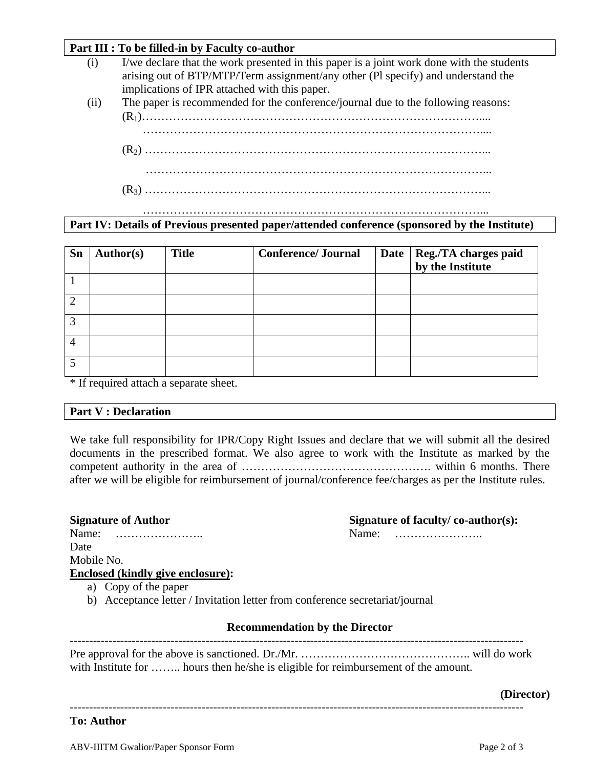### **Part III : To be filled-in by Faculty co-author**

- (i) I/we declare that the work presented in this paper is a joint work done with the students arising out of BTP/MTP/Term assignment/any other (Pl specify) and understand the implications of IPR attached with this paper.
- (ii) The paper is recommended for the conference/journal due to the following reasons: (R1)……………………………………………………………………………....
	- ……………………………………………………………………………....
	- (R2) ……………………………………………………………………………...
	- ……………………………………………………………………………...
	- (R3) ……………………………………………………………………………...

#### ……………………………………………………………………………... **Part IV: Details of Previous presented paper/attended conference (sponsored by the Institute)**

| Sn | <b>Author(s)</b> | <b>Title</b> | <b>Conference/Journal</b> | Date   Reg./TA charges paid<br>by the Institute |
|----|------------------|--------------|---------------------------|-------------------------------------------------|
|    |                  |              |                           |                                                 |
|    |                  |              |                           |                                                 |
|    |                  |              |                           |                                                 |
|    |                  |              |                           |                                                 |
|    |                  |              |                           |                                                 |

\* If required attach a separate sheet.

## **Part V : Declaration**

We take full responsibility for IPR/Copy Right Issues and declare that we will submit all the desired documents in the prescribed format. We also agree to work with the Institute as marked by the competent authority in the area of …………………………………………. within 6 months. There after we will be eligible for reimbursement of journal/conference fee/charges as per the Institute rules.

| <b>Signature of Author</b>               | Signature of faculty/ $\cos$ -author(s): |
|------------------------------------------|------------------------------------------|
| Name:                                    | Name:                                    |
| Date                                     |                                          |
| Mobile No.                               |                                          |
| <b>Enclosed (kindly give enclosure):</b> |                                          |

- a) Copy of the paper
- b) Acceptance letter / Invitation letter from conference secretariat/journal

#### **Recommendation by the Director** ---------------------------------------------------------------------------------------------------------------------

Pre approval for the above is sanctioned. Dr./Mr. …………………………………….. will do work with Institute for …….. hours then he/she is eligible for reimbursement of the amount.

#### **(Director)**

---------------------------------------------------------------------------------------------------------------------

## **To: Author**